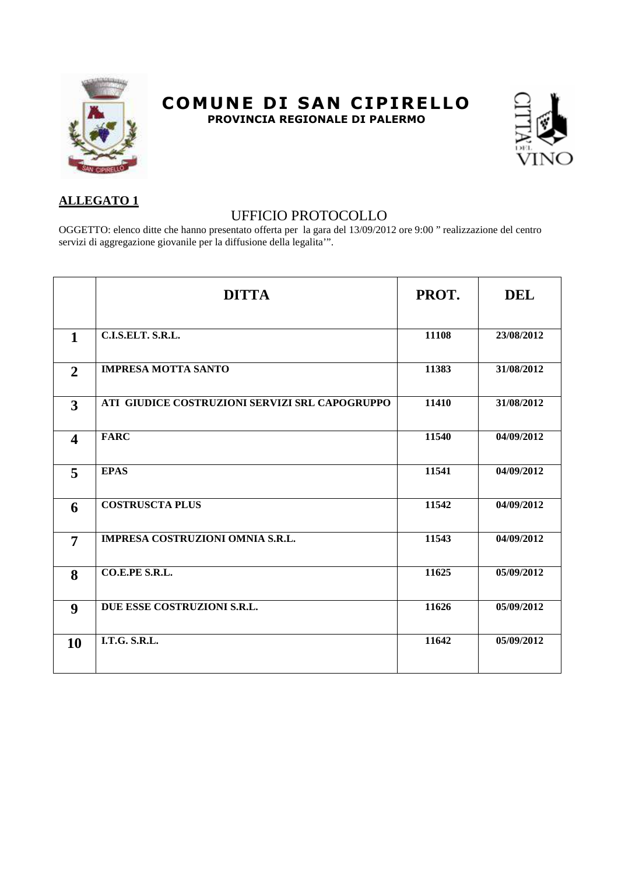

## **COMUNE DI SAN CIPIRELLO PROVINCIA REGIONALE DI PALERMO**



## **ALLEGATO 1**

## UFFICIO PROTOCOLLO

OGGETTO: elenco ditte che hanno presentato offerta per la gara del 13/09/2012 ore 9:00 " realizzazione del centro servizi di aggregazione giovanile per la diffusione della legalita'".

|                         | <b>DITTA</b>                                   | PROT. | <b>DEL</b> |
|-------------------------|------------------------------------------------|-------|------------|
|                         |                                                |       |            |
| $\mathbf{1}$            | C.I.S.ELT. S.R.L.                              | 11108 | 23/08/2012 |
| $\overline{2}$          | <b>IMPRESA MOTTA SANTO</b>                     | 11383 | 31/08/2012 |
| $\overline{\mathbf{3}}$ | ATI GIUDICE COSTRUZIONI SERVIZI SRL CAPOGRUPPO | 11410 | 31/08/2012 |
| $\overline{\mathbf{4}}$ | <b>FARC</b>                                    | 11540 | 04/09/2012 |
| 5                       | <b>EPAS</b>                                    | 11541 | 04/09/2012 |
| 6                       | <b>COSTRUSCTA PLUS</b>                         | 11542 | 04/09/2012 |
| $\overline{7}$          | IMPRESA COSTRUZIONI OMNIA S.R.L.               | 11543 | 04/09/2012 |
| 8                       | CO.E.PE S.R.L.                                 | 11625 | 05/09/2012 |
| $\boldsymbol{9}$        | DUE ESSE COSTRUZIONI S.R.L.                    | 11626 | 05/09/2012 |
| 10                      | <b>I.T.G. S.R.L.</b>                           | 11642 | 05/09/2012 |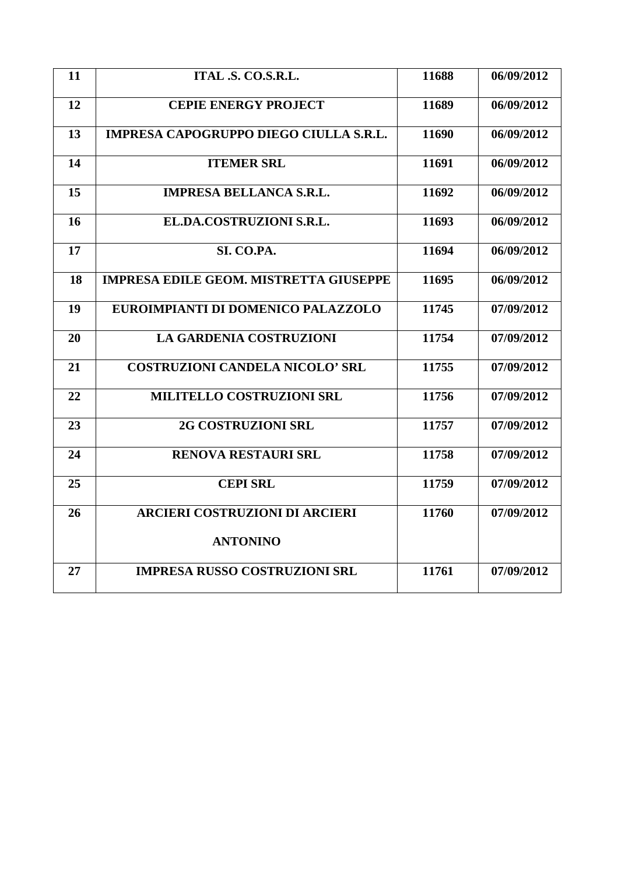| 11 | ITAL .S. CO.S.R.L.                            | 11688 | 06/09/2012 |
|----|-----------------------------------------------|-------|------------|
| 12 | <b>CEPIE ENERGY PROJECT</b>                   | 11689 | 06/09/2012 |
| 13 | IMPRESA CAPOGRUPPO DIEGO CIULLA S.R.L.        | 11690 | 06/09/2012 |
| 14 | <b>ITEMER SRL</b>                             | 11691 | 06/09/2012 |
| 15 | <b>IMPRESA BELLANCA S.R.L.</b>                | 11692 | 06/09/2012 |
| 16 | EL.DA.COSTRUZIONI S.R.L.                      | 11693 | 06/09/2012 |
| 17 | SI. CO.PA.                                    | 11694 | 06/09/2012 |
| 18 | <b>IMPRESA EDILE GEOM. MISTRETTA GIUSEPPE</b> | 11695 | 06/09/2012 |
| 19 | EUROIMPIANTI DI DOMENICO PALAZZOLO            | 11745 | 07/09/2012 |
| 20 | <b>LA GARDENIA COSTRUZIONI</b>                | 11754 | 07/09/2012 |
| 21 | <b>COSTRUZIONI CANDELA NICOLO' SRL</b>        | 11755 | 07/09/2012 |
| 22 | MILITELLO COSTRUZIONI SRL                     | 11756 | 07/09/2012 |
| 23 | <b>2G COSTRUZIONI SRL</b>                     | 11757 | 07/09/2012 |
| 24 | <b>RENOVA RESTAURI SRL</b>                    | 11758 | 07/09/2012 |
| 25 | <b>CEPI SRL</b>                               | 11759 | 07/09/2012 |
| 26 | <b>ARCIERI COSTRUZIONI DI ARCIERI</b>         | 11760 | 07/09/2012 |
|    | <b>ANTONINO</b>                               |       |            |
| 27 | <b>IMPRESA RUSSO COSTRUZIONI SRL</b>          | 11761 | 07/09/2012 |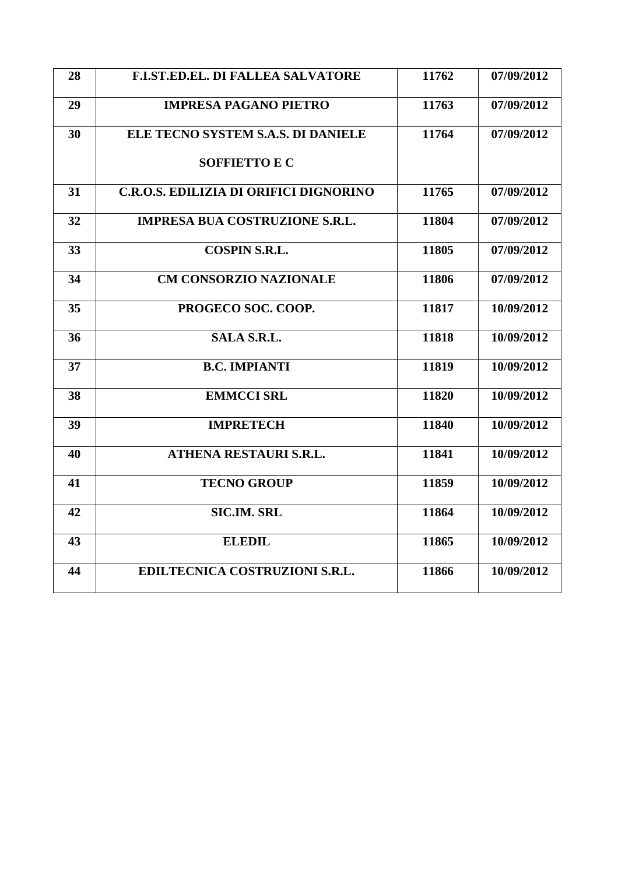| 28 | <b>F.I.ST.ED.EL. DI FALLEA SALVATORE</b> | 11762 | 07/09/2012 |
|----|------------------------------------------|-------|------------|
| 29 | <b>IMPRESA PAGANO PIETRO</b>             | 11763 | 07/09/2012 |
| 30 | ELE TECNO SYSTEM S.A.S. DI DANIELE       | 11764 | 07/09/2012 |
|    | <b>SOFFIETTO E C</b>                     |       |            |
| 31 | C.R.O.S. EDILIZIA DI ORIFICI DIGNORINO   | 11765 | 07/09/2012 |
| 32 | <b>IMPRESA BUA COSTRUZIONE S.R.L.</b>    | 11804 | 07/09/2012 |
| 33 | <b>COSPIN S.R.L.</b>                     | 11805 | 07/09/2012 |
| 34 | <b>CM CONSORZIO NAZIONALE</b>            | 11806 | 07/09/2012 |
| 35 | PROGECO SOC. COOP.                       | 11817 | 10/09/2012 |
| 36 | <b>SALA S.R.L.</b>                       | 11818 | 10/09/2012 |
| 37 | <b>B.C. IMPIANTI</b>                     | 11819 | 10/09/2012 |
| 38 | <b>EMMCCI SRL</b>                        | 11820 | 10/09/2012 |
| 39 | <b>IMPRETECH</b>                         | 11840 | 10/09/2012 |
| 40 | ATHENA RESTAURI S.R.L.                   | 11841 | 10/09/2012 |
| 41 | <b>TECNO GROUP</b>                       | 11859 | 10/09/2012 |
| 42 | <b>SIC.IM. SRL</b>                       | 11864 | 10/09/2012 |
| 43 | <b>ELEDIL</b>                            | 11865 | 10/09/2012 |
| 44 | EDILTECNICA COSTRUZIONI S.R.L.           | 11866 | 10/09/2012 |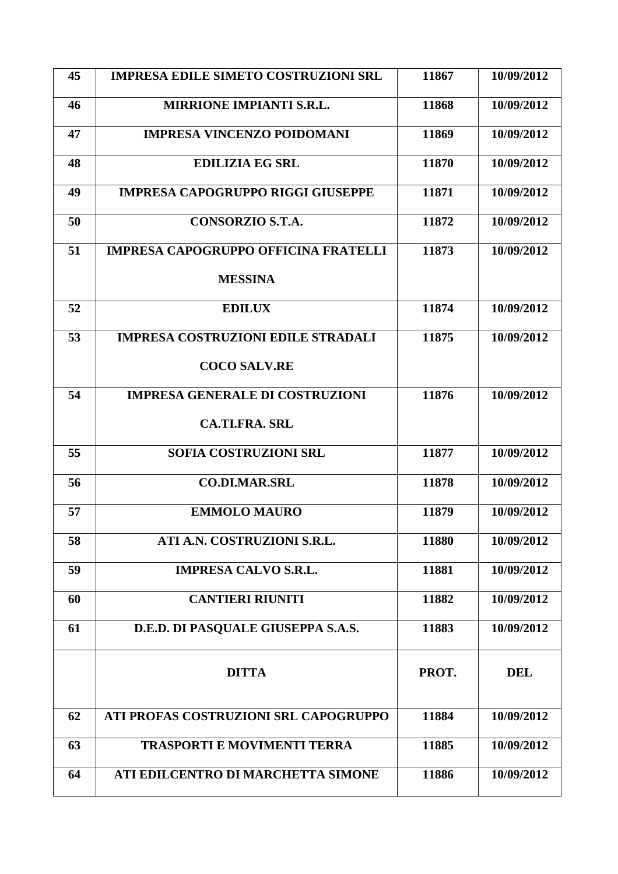| 45 | <b>IMPRESA EDILE SIMETO COSTRUZIONI SRL</b> | 11867 | 10/09/2012 |
|----|---------------------------------------------|-------|------------|
| 46 | <b>MIRRIONE IMPIANTI S.R.L.</b>             | 11868 | 10/09/2012 |
| 47 | <b>IMPRESA VINCENZO POIDOMANI</b>           | 11869 | 10/09/2012 |
| 48 | <b>EDILIZIA EG SRL</b>                      | 11870 | 10/09/2012 |
| 49 | <b>IMPRESA CAPOGRUPPO RIGGI GIUSEPPE</b>    | 11871 | 10/09/2012 |
| 50 | <b>CONSORZIO S.T.A.</b>                     | 11872 | 10/09/2012 |
| 51 | <b>IMPRESA CAPOGRUPPO OFFICINA FRATELLI</b> | 11873 | 10/09/2012 |
|    | <b>MESSINA</b>                              |       |            |
| 52 | <b>EDILUX</b>                               | 11874 | 10/09/2012 |
| 53 | <b>IMPRESA COSTRUZIONI EDILE STRADALI</b>   | 11875 | 10/09/2012 |
|    | <b>COCO SALV.RE</b>                         |       |            |
| 54 | <b>IMPRESA GENERALE DI COSTRUZIONI</b>      | 11876 | 10/09/2012 |
|    | <b>CA.TI.FRA. SRL</b>                       |       |            |
| 55 | SOFIA COSTRUZIONI SRL                       | 11877 | 10/09/2012 |
| 56 | <b>CO.DI.MAR.SRL</b>                        | 11878 | 10/09/2012 |
| 57 | <b>EMMOLO MAURO</b>                         | 11879 | 10/09/2012 |
| 58 | ATI A.N. COSTRUZIONI S.R.L.                 | 11880 | 10/09/2012 |
| 59 | <b>IMPRESA CALVO S.R.L.</b>                 | 11881 | 10/09/2012 |
| 60 | <b>CANTIERI RIUNITI</b>                     | 11882 | 10/09/2012 |
| 61 | D.E.D. DI PASQUALE GIUSEPPA S.A.S.          | 11883 | 10/09/2012 |
|    | <b>DITTA</b>                                | PROT. | <b>DEL</b> |
| 62 | ATI PROFAS COSTRUZIONI SRL CAPOGRUPPO       | 11884 | 10/09/2012 |
| 63 | <b>TRASPORTI E MOVIMENTI TERRA</b>          | 11885 | 10/09/2012 |
| 64 | ATI EDILCENTRO DI MARCHETTA SIMONE          | 11886 | 10/09/2012 |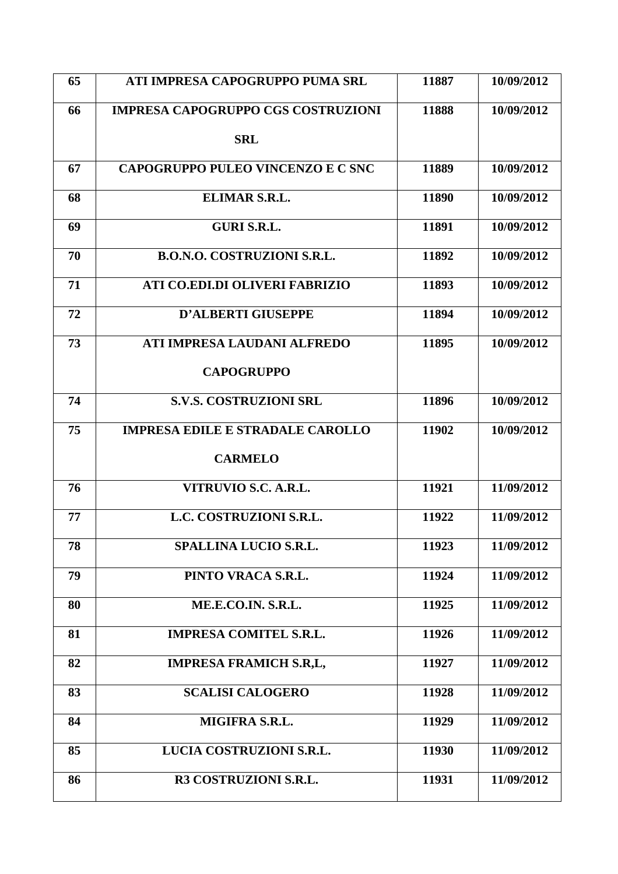| 65 | ATI IMPRESA CAPOGRUPPO PUMA SRL           | 11887 | 10/09/2012 |
|----|-------------------------------------------|-------|------------|
| 66 | <b>IMPRESA CAPOGRUPPO CGS COSTRUZIONI</b> | 11888 | 10/09/2012 |
|    | <b>SRL</b>                                |       |            |
| 67 | CAPOGRUPPO PULEO VINCENZO E C SNC         | 11889 | 10/09/2012 |
| 68 | ELIMAR S.R.L.                             | 11890 | 10/09/2012 |
| 69 | <b>GURI S.R.L.</b>                        | 11891 | 10/09/2012 |
| 70 | <b>B.O.N.O. COSTRUZIONI S.R.L.</b>        | 11892 | 10/09/2012 |
| 71 | ATI CO.EDI.DI OLIVERI FABRIZIO            | 11893 | 10/09/2012 |
| 72 | <b>D'ALBERTI GIUSEPPE</b>                 | 11894 | 10/09/2012 |
| 73 | ATI IMPRESA LAUDANI ALFREDO               | 11895 | 10/09/2012 |
|    | <b>CAPOGRUPPO</b>                         |       |            |
| 74 | <b>S.V.S. COSTRUZIONI SRL</b>             | 11896 | 10/09/2012 |
| 75 | <b>IMPRESA EDILE E STRADALE CAROLLO</b>   | 11902 | 10/09/2012 |
|    | <b>CARMELO</b>                            |       |            |
| 76 | VITRUVIO S.C. A.R.L.                      | 11921 | 11/09/2012 |
| 77 | L.C. COSTRUZIONI S.R.L.                   | 11922 | 11/09/2012 |
| 78 | SPALLINA LUCIO S.R.L.                     | 11923 | 11/09/2012 |
| 79 | PINTO VRACA S.R.L.                        | 11924 | 11/09/2012 |
| 80 | ME.E.CO.IN. S.R.L.                        | 11925 | 11/09/2012 |
| 81 | <b>IMPRESA COMITEL S.R.L.</b>             | 11926 | 11/09/2012 |
| 82 | <b>IMPRESA FRAMICH S.R.L.</b>             | 11927 | 11/09/2012 |
| 83 | <b>SCALISI CALOGERO</b>                   | 11928 | 11/09/2012 |
| 84 | MIGIFRA S.R.L.                            | 11929 | 11/09/2012 |
| 85 | LUCIA COSTRUZIONI S.R.L.                  | 11930 | 11/09/2012 |
| 86 | R3 COSTRUZIONI S.R.L.                     | 11931 | 11/09/2012 |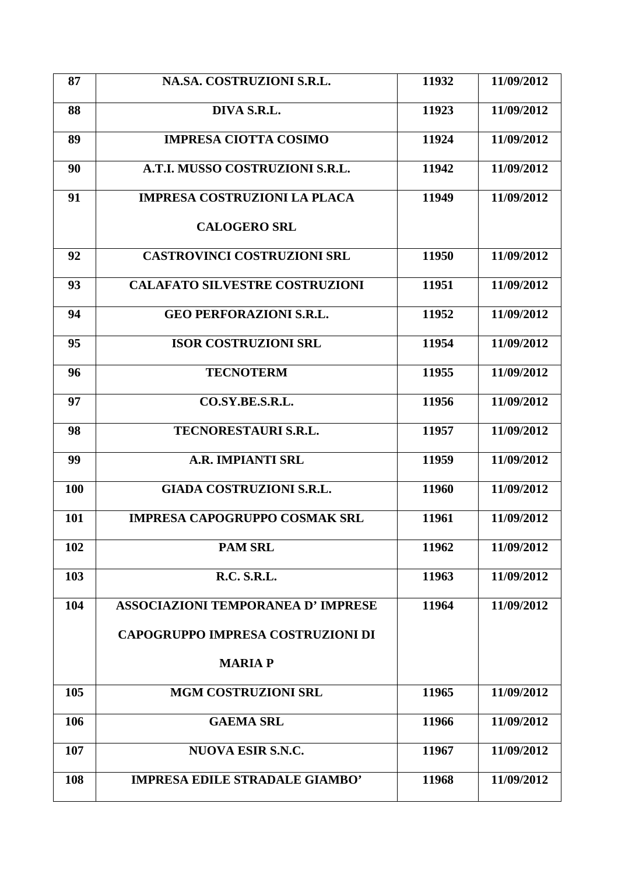| 87  | NA.SA. COSTRUZIONI S.R.L.                | 11932 | 11/09/2012 |
|-----|------------------------------------------|-------|------------|
| 88  | DIVA S.R.L.                              | 11923 | 11/09/2012 |
| 89  | <b>IMPRESA CIOTTA COSIMO</b>             | 11924 | 11/09/2012 |
| 90  | A.T.I. MUSSO COSTRUZIONI S.R.L.          | 11942 | 11/09/2012 |
| 91  | <b>IMPRESA COSTRUZIONI LA PLACA</b>      | 11949 | 11/09/2012 |
|     | <b>CALOGERO SRL</b>                      |       |            |
| 92  | <b>CASTROVINCI COSTRUZIONI SRL</b>       | 11950 | 11/09/2012 |
| 93  | <b>CALAFATO SILVESTRE COSTRUZIONI</b>    | 11951 | 11/09/2012 |
| 94  | <b>GEO PERFORAZIONI S.R.L.</b>           | 11952 | 11/09/2012 |
| 95  | <b>ISOR COSTRUZIONI SRL</b>              | 11954 | 11/09/2012 |
| 96  | <b>TECNOTERM</b>                         | 11955 | 11/09/2012 |
| 97  | CO.SY.BE.S.R.L.                          | 11956 | 11/09/2012 |
| 98  | <b>TECNORESTAURI S.R.L.</b>              | 11957 | 11/09/2012 |
| 99  | <b>A.R. IMPIANTI SRL</b>                 | 11959 | 11/09/2012 |
| 100 | <b>GIADA COSTRUZIONI S.R.L.</b>          | 11960 | 11/09/2012 |
| 101 | <b>IMPRESA CAPOGRUPPO COSMAK SRL</b>     | 11961 | 11/09/2012 |
| 102 | <b>PAM SRL</b>                           | 11962 | 11/09/2012 |
| 103 | <b>R.C. S.R.L.</b>                       | 11963 | 11/09/2012 |
| 104 | <b>ASSOCIAZIONI TEMPORANEA D'IMPRESE</b> | 11964 | 11/09/2012 |
|     | <b>CAPOGRUPPO IMPRESA COSTRUZIONI DI</b> |       |            |
|     | <b>MARIAP</b>                            |       |            |
| 105 | <b>MGM COSTRUZIONI SRL</b>               | 11965 | 11/09/2012 |
| 106 | <b>GAEMA SRL</b>                         | 11966 | 11/09/2012 |
| 107 | <b>NUOVA ESIR S.N.C.</b>                 | 11967 | 11/09/2012 |
| 108 | <b>IMPRESA EDILE STRADALE GIAMBO'</b>    | 11968 | 11/09/2012 |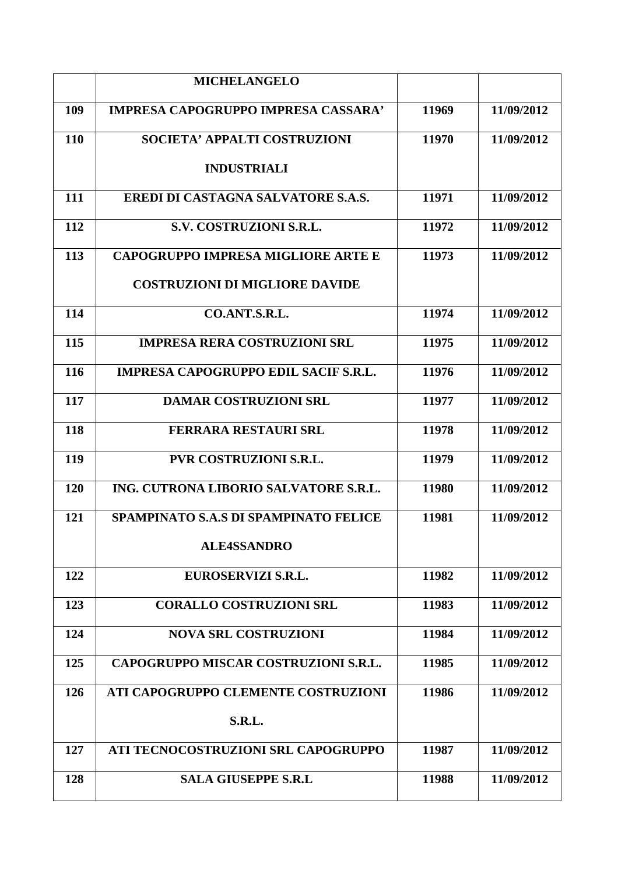|            | <b>MICHELANGELO</b>                          |       |            |
|------------|----------------------------------------------|-------|------------|
| 109        | <b>IMPRESA CAPOGRUPPO IMPRESA CASSARA'</b>   | 11969 | 11/09/2012 |
| 110        | SOCIETA' APPALTI COSTRUZIONI                 | 11970 | 11/09/2012 |
|            | <b>INDUSTRIALI</b>                           |       |            |
| 111        | <b>EREDI DI CASTAGNA SALVATORE S.A.S.</b>    | 11971 | 11/09/2012 |
| 112        | S.V. COSTRUZIONI S.R.L.                      | 11972 | 11/09/2012 |
| 113        | <b>CAPOGRUPPO IMPRESA MIGLIORE ARTE E</b>    | 11973 | 11/09/2012 |
|            | <b>COSTRUZIONI DI MIGLIORE DAVIDE</b>        |       |            |
| 114        | CO.ANT.S.R.L.                                | 11974 | 11/09/2012 |
| 115        | <b>IMPRESA RERA COSTRUZIONI SRL</b>          | 11975 | 11/09/2012 |
| 116        | <b>IMPRESA CAPOGRUPPO EDIL SACIF S.R.L.</b>  | 11976 | 11/09/2012 |
| 117        | <b>DAMAR COSTRUZIONI SRL</b>                 | 11977 | 11/09/2012 |
| 118        | <b>FERRARA RESTAURI SRL</b>                  | 11978 | 11/09/2012 |
| <b>119</b> | <b>PVR COSTRUZIONI S.R.L.</b>                | 11979 | 11/09/2012 |
| 120        | ING. CUTRONA LIBORIO SALVATORE S.R.L.        | 11980 | 11/09/2012 |
| 121        | <b>SPAMPINATO S.A.S DI SPAMPINATO FELICE</b> | 11981 | 11/09/2012 |
|            | <b>ALE4SSANDRO</b>                           |       |            |
| 122        | EUROSERVIZI S.R.L.                           | 11982 | 11/09/2012 |
| 123        | <b>CORALLO COSTRUZIONI SRL</b>               | 11983 | 11/09/2012 |
| 124        | <b>NOVA SRL COSTRUZIONI</b>                  | 11984 | 11/09/2012 |
| 125        | CAPOGRUPPO MISCAR COSTRUZIONI S.R.L.         | 11985 | 11/09/2012 |
| 126        | ATI CAPOGRUPPO CLEMENTE COSTRUZIONI          | 11986 | 11/09/2012 |
|            | S.R.L.                                       |       |            |
| 127        | ATI TECNOCOSTRUZIONI SRL CAPOGRUPPO          | 11987 | 11/09/2012 |
| 128        | <b>SALA GIUSEPPE S.R.L</b>                   | 11988 | 11/09/2012 |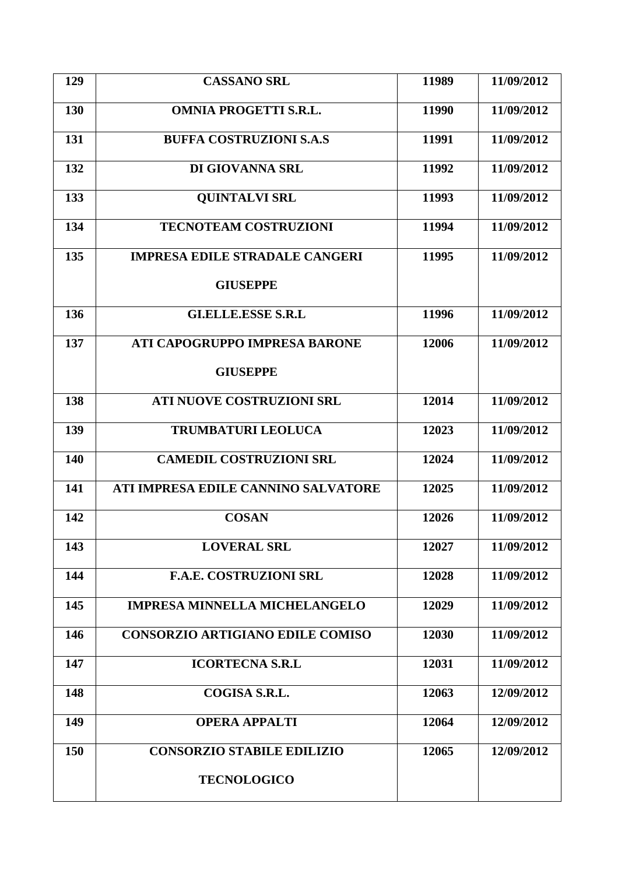| 129 | <b>CASSANO SRL</b>                      | 11989 | 11/09/2012 |
|-----|-----------------------------------------|-------|------------|
| 130 | <b>OMNIA PROGETTI S.R.L.</b>            | 11990 | 11/09/2012 |
| 131 | <b>BUFFA COSTRUZIONI S.A.S</b>          | 11991 | 11/09/2012 |
| 132 | DI GIOVANNA SRL                         | 11992 | 11/09/2012 |
| 133 | <b>QUINTALVI SRL</b>                    | 11993 | 11/09/2012 |
| 134 | <b>TECNOTEAM COSTRUZIONI</b>            | 11994 | 11/09/2012 |
| 135 | <b>IMPRESA EDILE STRADALE CANGERI</b>   | 11995 | 11/09/2012 |
|     | <b>GIUSEPPE</b>                         |       |            |
| 136 | <b>GLELLE.ESSE S.R.L</b>                | 11996 | 11/09/2012 |
| 137 | ATI CAPOGRUPPO IMPRESA BARONE           | 12006 | 11/09/2012 |
|     | <b>GIUSEPPE</b>                         |       |            |
| 138 | <b>ATI NUOVE COSTRUZIONI SRL</b>        | 12014 | 11/09/2012 |
| 139 | <b>TRUMBATURI LEOLUCA</b>               | 12023 | 11/09/2012 |
| 140 | <b>CAMEDIL COSTRUZIONI SRL</b>          | 12024 | 11/09/2012 |
| 141 | ATI IMPRESA EDILE CANNINO SALVATORE     | 12025 | 11/09/2012 |
| 142 | <b>COSAN</b>                            | 12026 | 11/09/2012 |
| 143 | <b>LOVERAL SRL</b>                      | 12027 | 11/09/2012 |
| 144 | <b>F.A.E. COSTRUZIONI SRL</b>           | 12028 | 11/09/2012 |
| 145 | <b>IMPRESA MINNELLA MICHELANGELO</b>    | 12029 | 11/09/2012 |
| 146 | <b>CONSORZIO ARTIGIANO EDILE COMISO</b> | 12030 | 11/09/2012 |
| 147 | <b>ICORTECNA S.R.L</b>                  | 12031 | 11/09/2012 |
| 148 | COGISA S.R.L.                           | 12063 | 12/09/2012 |
| 149 | <b>OPERA APPALTI</b>                    | 12064 | 12/09/2012 |
| 150 | <b>CONSORZIO STABILE EDILIZIO</b>       | 12065 | 12/09/2012 |
|     | <b>TECNOLOGICO</b>                      |       |            |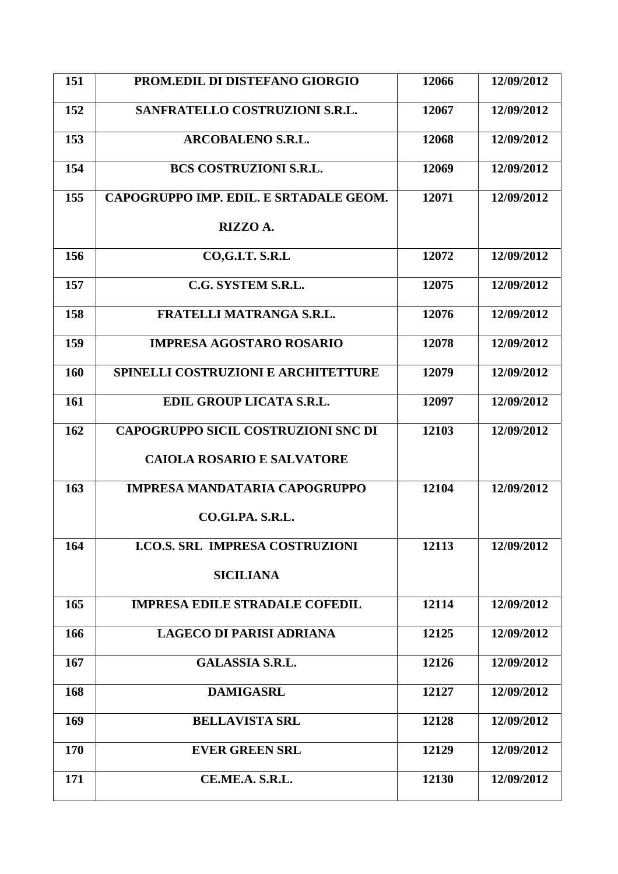| 151 | PROM.EDIL DI DISTEFANO GIORGIO             | 12066 | 12/09/2012 |
|-----|--------------------------------------------|-------|------------|
| 152 | SANFRATELLO COSTRUZIONI S.R.L.             | 12067 | 12/09/2012 |
| 153 | <b>ARCOBALENO S.R.L.</b>                   | 12068 | 12/09/2012 |
| 154 | <b>BCS COSTRUZIONI S.R.L.</b>              | 12069 | 12/09/2012 |
| 155 | CAPOGRUPPO IMP. EDIL. E SRTADALE GEOM.     | 12071 | 12/09/2012 |
|     | RIZZO A.                                   |       |            |
| 156 | CO,G.I.T. S.R.L                            | 12072 | 12/09/2012 |
| 157 | C.G. SYSTEM S.R.L.                         | 12075 | 12/09/2012 |
| 158 | <b>FRATELLI MATRANGA S.R.L.</b>            | 12076 | 12/09/2012 |
| 159 | <b>IMPRESA AGOSTARO ROSARIO</b>            | 12078 | 12/09/2012 |
| 160 | <b>SPINELLI COSTRUZIONI E ARCHITETTURE</b> | 12079 | 12/09/2012 |
| 161 | EDIL GROUP LICATA S.R.L.                   | 12097 | 12/09/2012 |
| 162 | <b>CAPOGRUPPO SICIL COSTRUZIONI SNC DI</b> | 12103 | 12/09/2012 |
|     | <b>CAIOLA ROSARIO E SALVATORE</b>          |       |            |
| 163 | <b>IMPRESA MANDATARIA CAPOGRUPPO</b>       | 12104 | 12/09/2012 |
|     | CO.GLPA. S.R.L.                            |       |            |
| 164 | <b>I.CO.S. SRL IMPRESA COSTRUZIONI</b>     | 12113 | 12/09/2012 |
|     | <b>SICILIANA</b>                           |       |            |
| 165 | <b>IMPRESA EDILE STRADALE COFEDIL</b>      | 12114 | 12/09/2012 |
| 166 | <b>LAGECO DI PARISI ADRIANA</b>            | 12125 | 12/09/2012 |
| 167 | <b>GALASSIA S.R.L.</b>                     | 12126 | 12/09/2012 |
| 168 | <b>DAMIGASRL</b>                           | 12127 | 12/09/2012 |
| 169 | <b>BELLAVISTA SRL</b>                      | 12128 | 12/09/2012 |
| 170 | <b>EVER GREEN SRL</b>                      | 12129 | 12/09/2012 |
| 171 | CE.ME.A. S.R.L.                            | 12130 | 12/09/2012 |